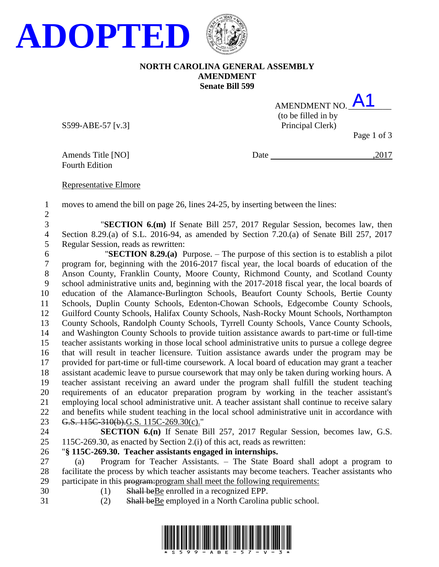

### **NORTH CAROLINA GENERAL ASSEMBLY AMENDMENT Senate Bill 599**

| AMENDMENT NO.       | $\mathsf{A}$                         |
|---------------------|--------------------------------------|
| (to be filled in by |                                      |
| Principal Clerk)    |                                      |
|                     | $D_{\text{max}}$ 1 $\alpha$ $\Omega$ |

S599-ABE-57 [v.3]

Page 1 of 3

Fourth Edition

Amends Title [NO] Date ,2017

#### Representative Elmore

 moves to amend the bill on page 26, lines 24-25, by inserting between the lines: 

 "**SECTION 6.(m)** If Senate Bill 257, 2017 Regular Session, becomes law, then Section 8.29.(a) of S.L. 2016-94, as amended by Section 7.20.(a) of Senate Bill 257, 2017 Regular Session, reads as rewritten:

6 "**SECTION 8.29.(a)** Purpose. – The purpose of this section is to establish a pilot program for, beginning with the 2016-2017 fiscal year, the local boards of education of the Anson County, Franklin County, Moore County, Richmond County, and Scotland County school administrative units and, beginning with the 2017-2018 fiscal year, the local boards of education of the Alamance-Burlington Schools, Beaufort County Schools, Bertie County Schools, Duplin County Schools, Edenton-Chowan Schools, Edgecombe County Schools, Guilford County Schools, Halifax County Schools, Nash-Rocky Mount Schools, Northampton County Schools, Randolph County Schools, Tyrrell County Schools, Vance County Schools, and Washington County Schools to provide tuition assistance awards to part-time or full-time teacher assistants working in those local school administrative units to pursue a college degree that will result in teacher licensure. Tuition assistance awards under the program may be provided for part-time or full-time coursework. A local board of education may grant a teacher assistant academic leave to pursue coursework that may only be taken during working hours. A teacher assistant receiving an award under the program shall fulfill the student teaching requirements of an educator preparation program by working in the teacher assistant's employing local school administrative unit. A teacher assistant shall continue to receive salary and benefits while student teaching in the local school administrative unit in accordance with 23 G.S. 115C-310(b).G.S. 115C-269.30(c)."

- **SECTION 6.(n)** If Senate Bill 257, 2017 Regular Session, becomes law, G.S.
- 115C-269.30, as enacted by Section 2.(i) of this act, reads as rewritten:

## "**§ 115C-269.30. Teacher assistants engaged in internships.**

 (a) Program for Teacher Assistants. – The State Board shall adopt a program to facilitate the process by which teacher assistants may become teachers. Teacher assistants who 29 participate in this program: program shall meet the following requirements:

- 30 (1) Shall be Be enrolled in a recognized EPP.
- 
- (2) Shall beBe employed in a North Carolina public school.

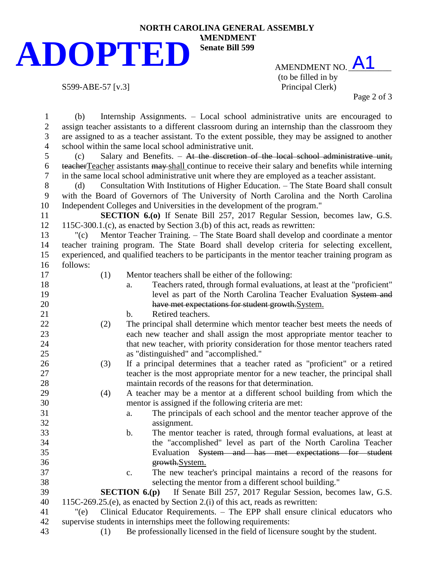## **NORTH CAROLINA GENERAL ASSEMBLY ADOPTED**

AMENDMENT NO. A1 (to be filled in by S599-ABE-57 [v.3] Principal Clerk)

Page 2 of 3

 (b) Internship Assignments. – Local school administrative units are encouraged to assign teacher assistants to a different classroom during an internship than the classroom they are assigned to as a teacher assistant. To the extent possible, they may be assigned to another school within the same local school administrative unit. (c) Salary and Benefits. – At the discretion of the local school administrative unit, teacherTeacher assistants may shall continue to receive their salary and benefits while interning in the same local school administrative unit where they are employed as a teacher assistant. (d) Consultation With Institutions of Higher Education. – The State Board shall consult with the Board of Governors of The University of North Carolina and the North Carolina Independent Colleges and Universities in the development of the program." **SECTION 6.(o)** If Senate Bill 257, 2017 Regular Session, becomes law, G.S. 115C-300.1.(c), as enacted by Section 3.(b) of this act, reads as rewritten: "(c) Mentor Teacher Training. – The State Board shall develop and coordinate a mentor teacher training program. The State Board shall develop criteria for selecting excellent, experienced, and qualified teachers to be participants in the mentor teacher training program as follows: (1) Mentor teachers shall be either of the following: a. Teachers rated, through formal evaluations, at least at the "proficient" **19** level as part of the North Carolina Teacher Evaluation System and have met expectations for student growth.System. 21 b. Retired teachers. (2) The principal shall determine which mentor teacher best meets the needs of each new teacher and shall assign the most appropriate mentor teacher to that new teacher, with priority consideration for those mentor teachers rated as "distinguished" and "accomplished." (3) If a principal determines that a teacher rated as "proficient" or a retired teacher is the most appropriate mentor for a new teacher, the principal shall maintain records of the reasons for that determination. (4) A teacher may be a mentor at a different school building from which the mentor is assigned if the following criteria are met: a. The principals of each school and the mentor teacher approve of the assignment. b. The mentor teacher is rated, through formal evaluations, at least at the "accomplished" level as part of the North Carolina Teacher Evaluation System and has met expectations for student growth.System. c. The new teacher's principal maintains a record of the reasons for selecting the mentor from a different school building." **SECTION 6.(p)** If Senate Bill 257, 2017 Regular Session, becomes law, G.S. 115C-269.25.(e), as enacted by Section 2.(i) of this act, reads as rewritten: "(e) Clinical Educator Requirements. – The EPP shall ensure clinical educators who supervise students in internships meet the following requirements: (1) Be professionally licensed in the field of licensure sought by the student.

**AMENDMENT Senate Bill 599**